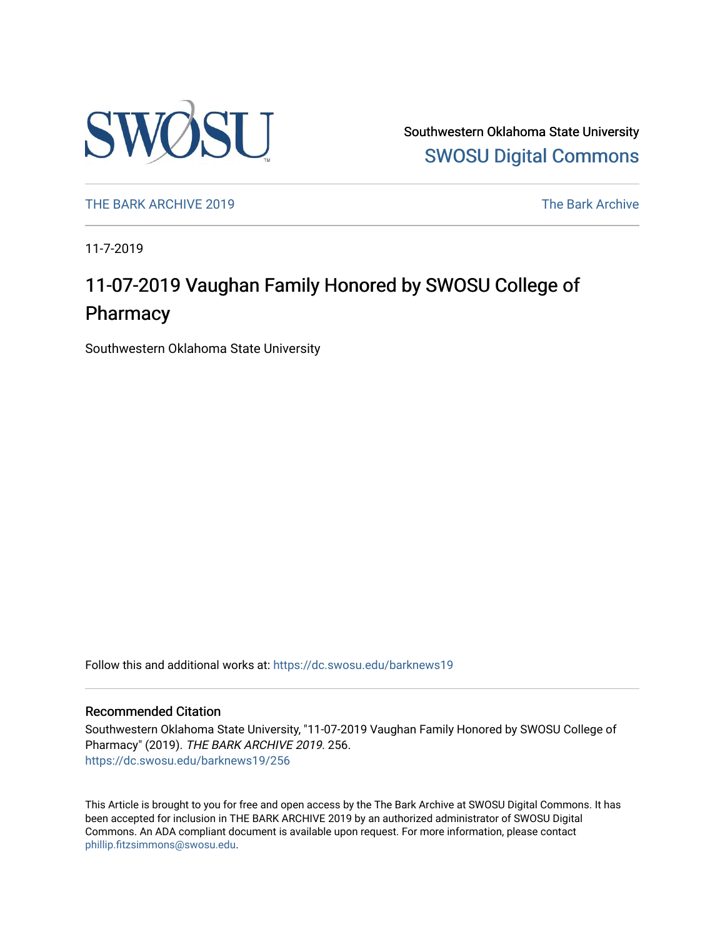

Southwestern Oklahoma State University [SWOSU Digital Commons](https://dc.swosu.edu/) 

[THE BARK ARCHIVE 2019](https://dc.swosu.edu/barknews19) The Bark Archive

11-7-2019

## 11-07-2019 Vaughan Family Honored by SWOSU College of Pharmacy

Southwestern Oklahoma State University

Follow this and additional works at: [https://dc.swosu.edu/barknews19](https://dc.swosu.edu/barknews19?utm_source=dc.swosu.edu%2Fbarknews19%2F256&utm_medium=PDF&utm_campaign=PDFCoverPages)

#### Recommended Citation

Southwestern Oklahoma State University, "11-07-2019 Vaughan Family Honored by SWOSU College of Pharmacy" (2019). THE BARK ARCHIVE 2019. 256. [https://dc.swosu.edu/barknews19/256](https://dc.swosu.edu/barknews19/256?utm_source=dc.swosu.edu%2Fbarknews19%2F256&utm_medium=PDF&utm_campaign=PDFCoverPages)

This Article is brought to you for free and open access by the The Bark Archive at SWOSU Digital Commons. It has been accepted for inclusion in THE BARK ARCHIVE 2019 by an authorized administrator of SWOSU Digital Commons. An ADA compliant document is available upon request. For more information, please contact [phillip.fitzsimmons@swosu.edu](mailto:phillip.fitzsimmons@swosu.edu).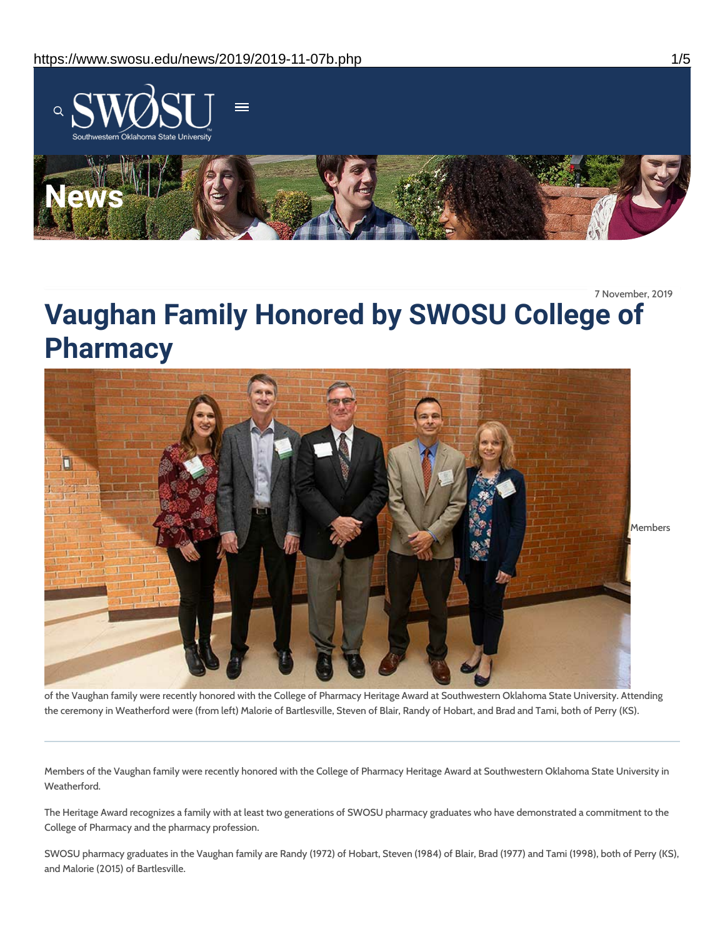

7 November, 2019

# **Vaughan Family Honored by SWOSU College of Pharmacy**



of the Vaughan family were recently honored with the College of Pharmacy Heritage Award at Southwestern Oklahoma State University. Attending the ceremony in Weatherford were (from left) Malorie of Bartlesville, Steven of Blair, Randy of Hobart, and Brad and Tami, both of Perry (KS).

Members of the Vaughan family were recently honored with the College of Pharmacy Heritage Award at Southwestern Oklahoma State University in Weatherford.

The Heritage Award recognizes a family with at least two generations of SWOSU pharmacy graduates who have demonstrated a commitment to the College of Pharmacy and the pharmacy profession.

SWOSU pharmacy graduates in the Vaughan family are Randy (1972) of Hobart, Steven (1984) of Blair, Brad (1977) and Tami (1998), both of Perry (KS), and Malorie (2015) of Bartlesville.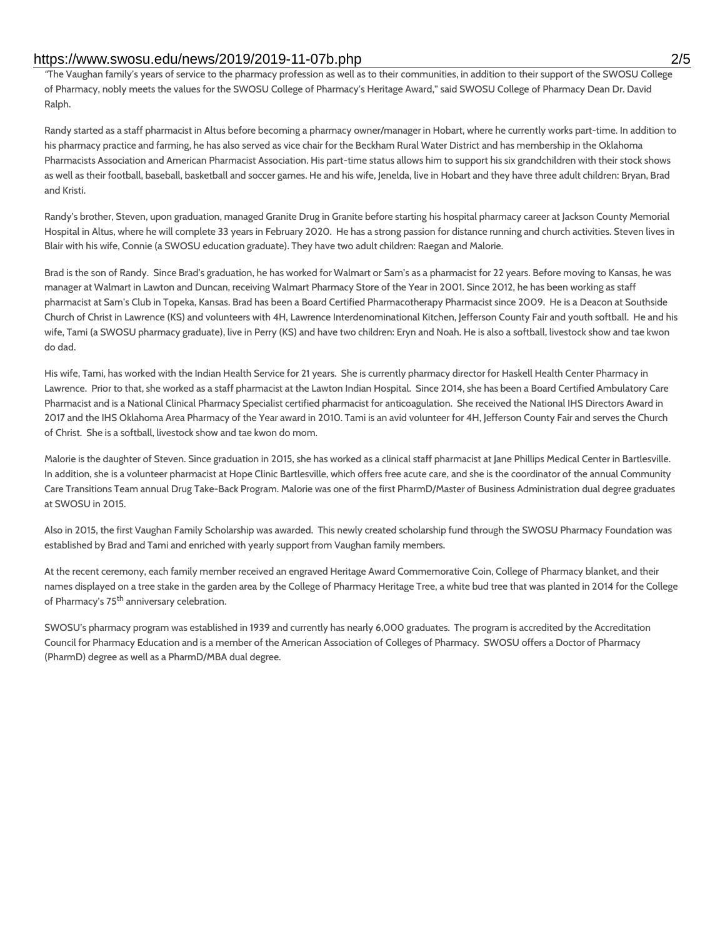#### https://www.swosu.edu/news/2019/2019-11-07b.php 2/5

*"*The Vaughan family's years of service to the pharmacy profession as well as to their communities, in addition to their support of the SWOSU College of Pharmacy, nobly meets the values for the SWOSU College of Pharmacy's Heritage Award," said SWOSU College of Pharmacy Dean Dr. David Ralph.

Randy started as a staff pharmacist in Altus before becoming a pharmacy owner/manager in Hobart, where he currently works part-time. In addition to his pharmacy practice and farming, he has also served as vice chair for the Beckham Rural Water District and has membership in the Oklahoma Pharmacists Association and American Pharmacist Association. His part-time status allows him to support his six grandchildren with their stock shows as well as their football, baseball, basketball and soccer games. He and his wife, Jenelda, live in Hobart and they have three adult children: Bryan, Brad and Kristi.

Randy's brother, Steven, upon graduation, managed Granite Drug in Granite before starting his hospital pharmacy career at Jackson County Memorial Hospital in Altus, where he will complete 33 years in February 2020. He has a strong passion for distance running and church activities. Steven lives in Blair with his wife, Connie (a SWOSU education graduate). They have two adult children: Raegan and Malorie.

Brad is the son of Randy. Since Brad's graduation, he has worked for Walmart or Sam's as a pharmacist for 22 years. Before moving to Kansas, he was manager at Walmart in Lawton and Duncan, receiving Walmart Pharmacy Store of the Year in 2001. Since 2012, he has been working as staff pharmacist at Sam's Club in Topeka, Kansas. Brad has been a Board Certified Pharmacotherapy Pharmacist since 2009. He is a Deacon at Southside Church of Christ in Lawrence (KS) and volunteers with 4H, Lawrence Interdenominational Kitchen, Jefferson County Fair and youth softball. He and his wife, Tami (a SWOSU pharmacy graduate), live in Perry (KS) and have two children: Eryn and Noah. He is also a softball, livestock show and tae kwon do dad.

His wife, Tami, has worked with the Indian Health Service for 21 years. She is currently pharmacy director for Haskell Health Center Pharmacy in Lawrence. Prior to that, she worked as a staff pharmacist at the Lawton Indian Hospital. Since 2014, she has been a Board Certified Ambulatory Care Pharmacist and is a National Clinical Pharmacy Specialist certified pharmacist for anticoagulation. She received the National IHS Directors Award in 2017 and the IHS Oklahoma Area Pharmacy of the Year award in 2010. Tami is an avid volunteer for 4H, Jefferson County Fair and serves the Church of Christ. She is a softball, livestock show and tae kwon do mom.

Malorie is the daughter of Steven. Since graduation in 2015, she has worked as a clinical staff pharmacist at Jane Phillips Medical Center in Bartlesville. In addition, she is a volunteer pharmacist at Hope Clinic Bartlesville, which offers free acute care, and she is the coordinator of the annual Community Care Transitions Team annual Drug Take-Back Program. Malorie was one of the first PharmD/Master of Business Administration dual degree graduates at SWOSU in 2015.

Also in 2015, the first Vaughan Family Scholarship was awarded. This newly created scholarship fund through the SWOSU Pharmacy Foundation was established by Brad and Tami and enriched with yearly support from Vaughan family members.

At the recent ceremony, each family member received an engraved Heritage Award Commemorative Coin, College of Pharmacy blanket, and their names displayed on a tree stake in the garden area by the College of Pharmacy Heritage Tree, a white bud tree that was planted in 2014 for the College of Pharmacy's 75<sup>th</sup> anniversary celebration.

SWOSU's pharmacy program was established in 1939 and currently has nearly 6,000 graduates. The program is accredited by the Accreditation Council for Pharmacy Education and is a member of the American Association of Colleges of Pharmacy. SWOSU offers a Doctor of Pharmacy (PharmD) degree as well as a PharmD/MBA dual degree.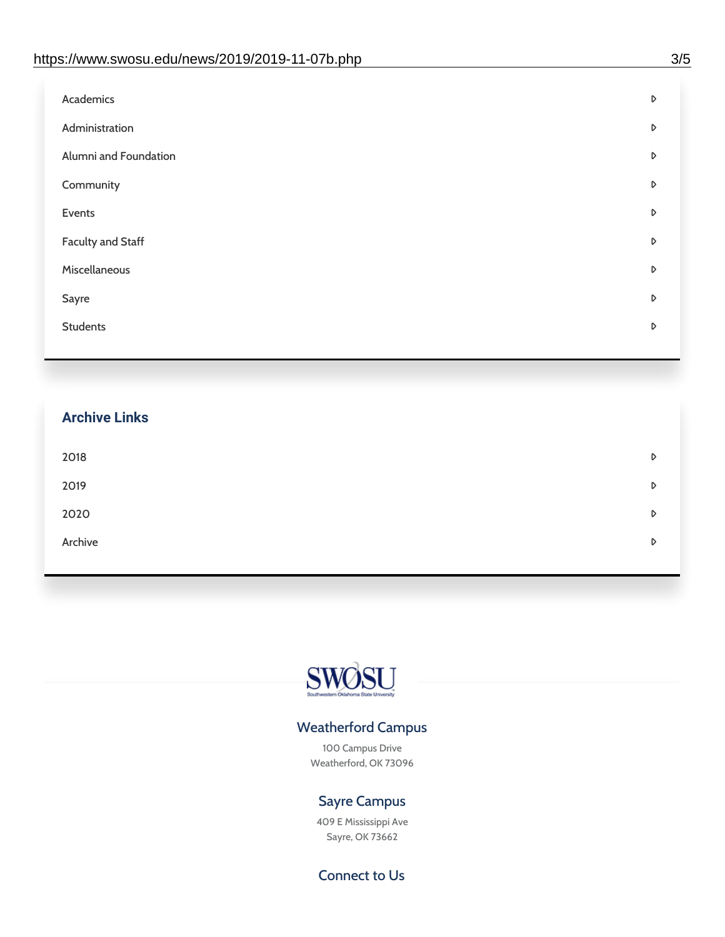| D |
|---|
| D |
| D |
| D |
| D |
| D |
| D |
| D |
| D |
|   |

## **Archive Links**  $2018$  $2019$ [2020](https://www.swosu.edu/news/2020/index.php)  $\bullet$ [Archive](https://dc.swosu.edu/bark/) **Archive Archive Archive Archive Archive** Archive Archive Archive Archive Archive Archive Archive Archive



### Weatherford Campus

100 Campus Drive Weatherford, OK 73096

### Sayre Campus

409 E Mississippi Ave Sayre, OK 73662

Connect to Us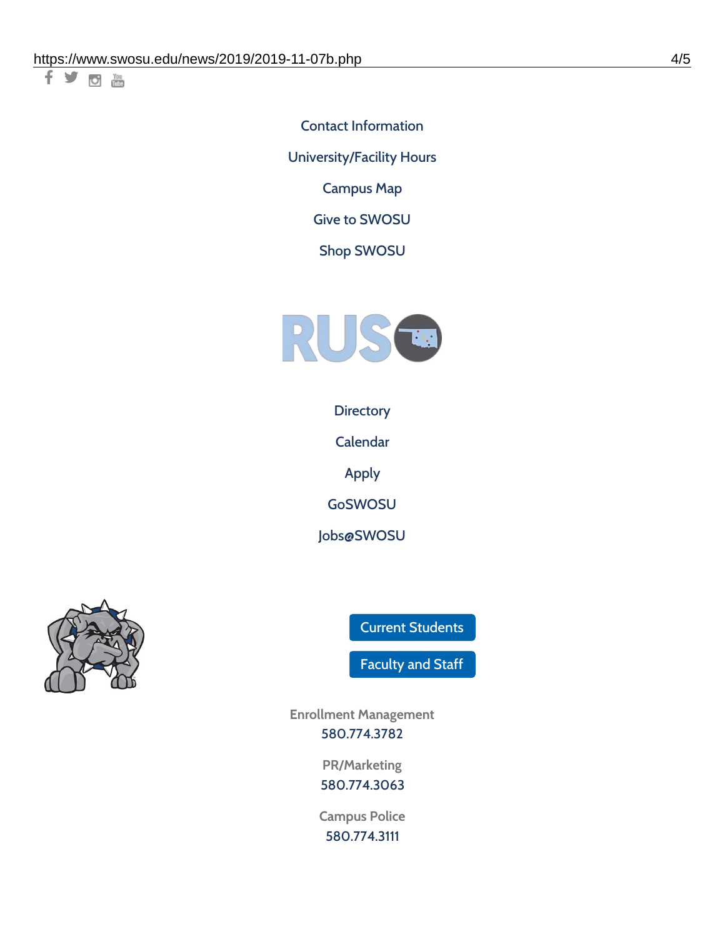十岁回调

Contact [Information](https://www.swosu.edu/about/contact.php)

[University/Facility](https://www.swosu.edu/about/operating-hours.php) Hours

[Campus](https://map.concept3d.com/?id=768#!ct/10964,10214,10213,10212,10205,10204,10203,10202,10136,10129,10128,0,31226,10130,10201,10641,0) Map

Give to [SWOSU](https://standingfirmly.com/donate)

Shop [SWOSU](https://shopswosu.merchorders.com/)



**[Directory](https://www.swosu.edu/directory/index.php)** 

[Calendar](https://eventpublisher.dudesolutions.com/swosu/)

[Apply](https://www.swosu.edu/admissions/apply-to-swosu.php)

[GoSWOSU](https://qlsso.quicklaunchsso.com/home/1267)

[Jobs@SWOSU](https://swosu.csod.com/ux/ats/careersite/1/home?c=swosu)



Current [Students](https://bulldog.swosu.edu/index.php)

[Faculty](https://bulldog.swosu.edu/faculty-staff/index.php) and Staff

**Enrollment Management** [580.774.3782](tel:5807743782)

> **PR/Marketing** [580.774.3063](tel:5807743063)

**Campus Police** [580.774.3111](tel:5807743111)